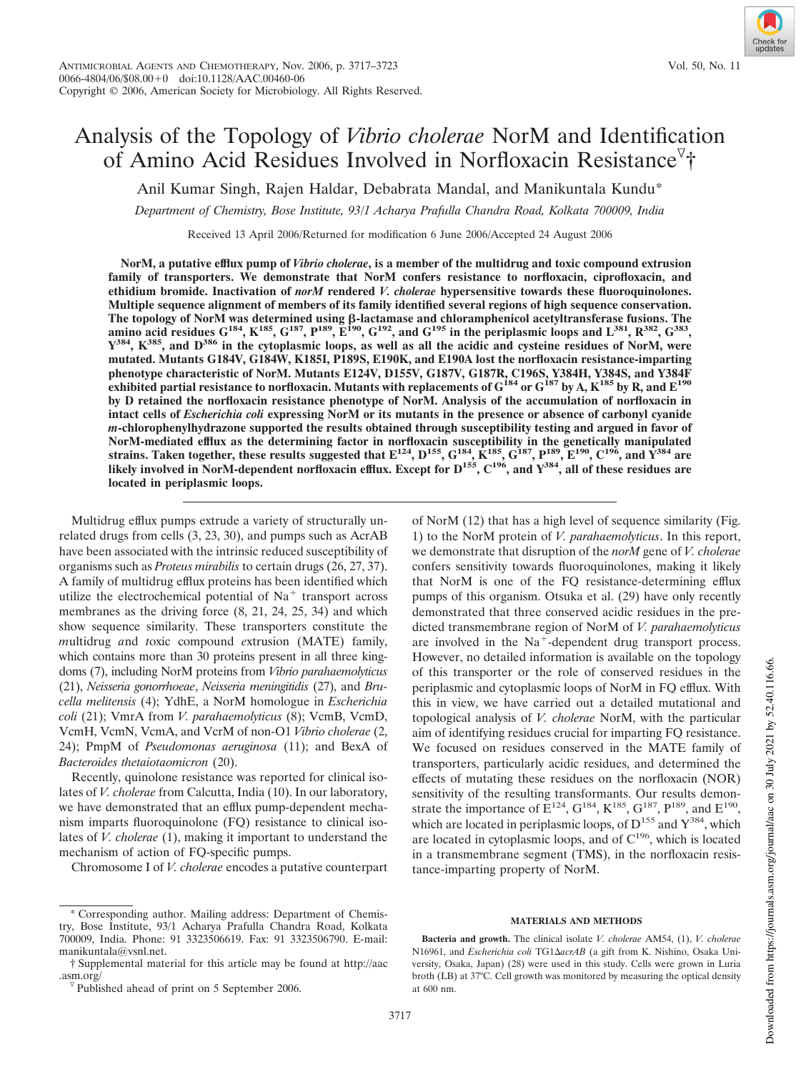# Analysis of the Topology of *Vibrio cholerae* NorM and Identification of Amino Acid Residues Involved in Norfloxacin Resistance<sup>7</sup>†

Anil Kumar Singh, Rajen Haldar, Debabrata Mandal, and Manikuntala Kundu\*

*Department of Chemistry, Bose Institute, 93/1 Acharya Prafulla Chandra Road, Kolkata 700009, India*

Received 13 April 2006/Returned for modification 6 June 2006/Accepted 24 August 2006

**NorM, a putative efflux pump of** *Vibrio cholerae***, is a member of the multidrug and toxic compound extrusion family of transporters. We demonstrate that NorM confers resistance to norfloxacin, ciprofloxacin, and ethidium bromide. Inactivation of** *norM* **rendered** *V. cholerae* **hypersensitive towards these fluoroquinolones. Multiple sequence alignment of members of its family identified several regions of high sequence conservation.** The topology of NorM was determined using β-lactamase and chloramphenicol acetyltransferase fusions. The amino acid residues  $G^{184}$ ,  $K^{185}$ ,  $G^{187}$ ,  $P^{189}$ ,  $E^{190}$ ,  $G^{192}$ , and  $G^{195}$  in the periplasmic loop **Y <sup>384</sup>, K385, and D<sup>386</sup> in the cytoplasmic loops, as well as all the acidic and cysteine residues of NorM, were mutated. Mutants G184V, G184W, K185I, P189S, E190K, and E190A lost the norfloxacin resistance-imparting phenotype characteristic of NorM. Mutants E124V, D155V, G187V, G187R, C196S, Y384H, Y384S, and Y384F exhibited partial resistance to norfloxacin. Mutants with replacements of G<sup>184</sup> or G<sup>187</sup> by A, K<sup>185</sup> by R, and E<sup>190</sup> by D retained the norfloxacin resistance phenotype of NorM. Analysis of the accumulation of norfloxacin in intact cells of** *Escherichia coli* **expressing NorM or its mutants in the presence or absence of carbonyl cyanide** *m***-chlorophenylhydrazone supported the results obtained through susceptibility testing and argued in favor of NorM-mediated efflux as the determining factor in norfloxacin susceptibility in the genetically manipulated** strains. Taken together, these results suggested that  $E^{124}$ ,  $D^{155}$ ,  $G^{184}$ ,  $K^{185}$ ,  $G^{187}$ ,  $P^{189}$ ,  $E^{190}$ ,  $C^{196}$ , and  $Y^{384}$  are likely involved in NorM-dependent norfloxacin efflux. Except for  $D^{155}$ ,  $C^{196}$ , and  $Y^{384}$ , all of these residues are **located in periplasmic loops.**

Multidrug efflux pumps extrude a variety of structurally unrelated drugs from cells (3, 23, 30), and pumps such as AcrAB have been associated with the intrinsic reduced susceptibility of organisms such as *Proteus mirabilis* to certain drugs (26, 27, 37). A family of multidrug efflux proteins has been identified which utilize the electrochemical potential of  $Na<sup>+</sup>$  transport across membranes as the driving force (8, 21, 24, 25, 34) and which show sequence similarity. These transporters constitute the *m*ultidrug *a*nd *t*oxic compound *e*xtrusion (MATE) family, which contains more than 30 proteins present in all three kingdoms (7), including NorM proteins from *Vibrio parahaemolyticus* (21), *Neisseria gonorrhoeae*, *Neisseria meningitidis* (27), and *Brucella melitensis* (4); YdhE, a NorM homologue in *Escherichia coli* (21); VmrA from *V. parahaemolyticus* (8); VcmB, VcmD, VcmH, VcmN, VcmA, and VcrM of non-O1 *Vibrio cholerae* (2, 24); PmpM of *Pseudomonas aeruginosa* (11); and BexA of *Bacteroides thetaiotaomicron* (20).

Recently, quinolone resistance was reported for clinical isolates of *V. cholerae* from Calcutta, India (10). In our laboratory, we have demonstrated that an efflux pump-dependent mechanism imparts fluoroquinolone (FQ) resistance to clinical isolates of *V. cholerae* (1), making it important to understand the mechanism of action of FQ-specific pumps.

Chromosome I of *V. cholerae* encodes a putative counterpart

of NorM (12) that has a high level of sequence similarity (Fig. 1) to the NorM protein of *V. parahaemolyticus*. In this report, we demonstrate that disruption of the *norM* gene of *V. cholerae* confers sensitivity towards fluoroquinolones, making it likely that NorM is one of the FQ resistance-determining efflux pumps of this organism. Otsuka et al. (29) have only recently demonstrated that three conserved acidic residues in the predicted transmembrane region of NorM of *V. parahaemolyticus* are involved in the Na<sup>+</sup>-dependent drug transport process. However, no detailed information is available on the topology of this transporter or the role of conserved residues in the periplasmic and cytoplasmic loops of NorM in FQ efflux. With this in view, we have carried out a detailed mutational and topological analysis of *V. cholerae* NorM, with the particular aim of identifying residues crucial for imparting FQ resistance. We focused on residues conserved in the MATE family of transporters, particularly acidic residues, and determined the effects of mutating these residues on the norfloxacin (NOR) sensitivity of the resulting transformants. Our results demonstrate the importance of  $E^{124}$ ,  $G^{184}$ ,  $K^{185}$ ,  $G^{187}$ ,  $P^{189}$ , and  $E^{190}$ , which are located in periplasmic loops, of  $D^{155}$  and  $Y^{384}$ , which are located in cytoplasmic loops, and of  $C^{196}$ , which is located in a transmembrane segment (TMS), in the norfloxacin resistance-imparting property of NorM.

#### **MATERIALS AND METHODS**

**Bacteria and growth.** The clinical isolate *V. cholerae* AM54, (1), *V. cholerae* N16961, and *Escherichia coli* TG1∆acrAB (a gift from K. Nishino, Osaka University, Osaka, Japan) (28) were used in this study. Cells were grown in Luria broth (LB) at 37°C. Cell growth was monitored by measuring the optical density at 600 nm.

Corresponding author. Mailing address: Department of Chemistry, Bose Institute, 93/1 Acharya Prafulla Chandra Road, Kolkata 700009, India. Phone: 91 3323506619. Fax: 91 3323506790. E-mail: manikuntala@vsnl.net.

<sup>†</sup> Supplemental material for this article may be found at http://aac .asm.org/

 $\sqrt{p}$  Published ahead of print on 5 September 2006.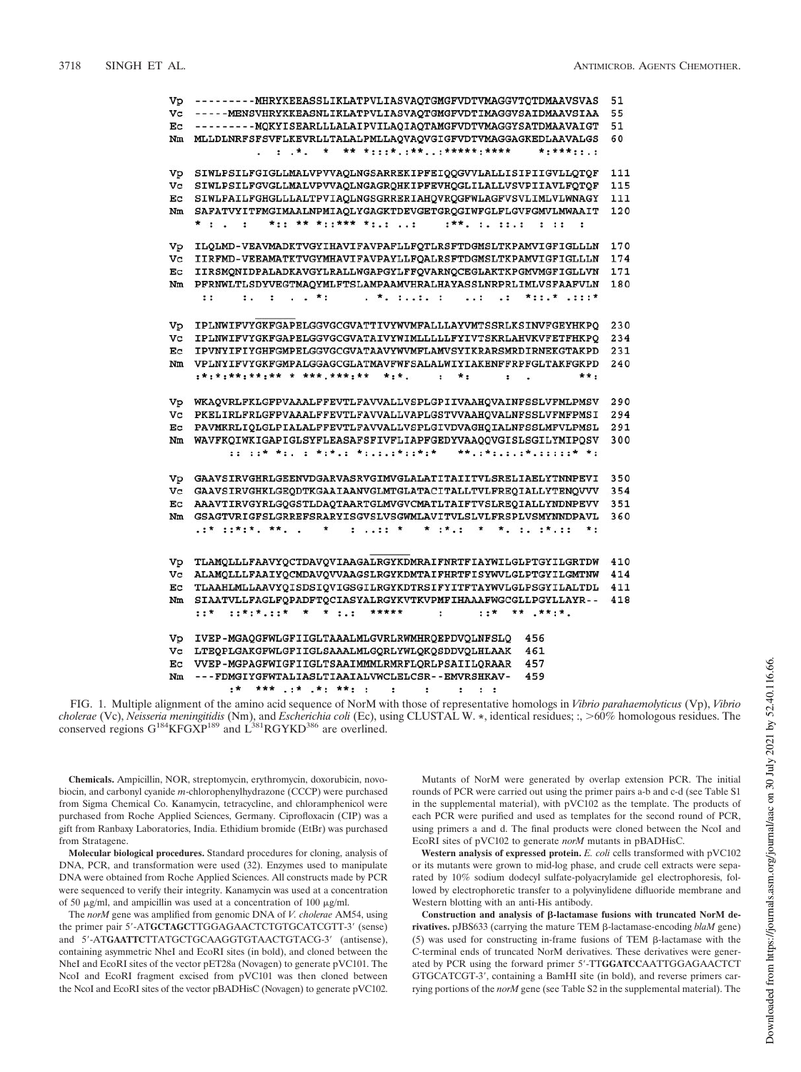| Vp | ---------MHRYKEEASSLIKLATPVLIASVAQTGMGFVDTVMAGGVTQTDMAAVSVAS                                 | 51  |
|----|----------------------------------------------------------------------------------------------|-----|
| Vc | -----MENSVHRYKKEASNLIKLATPVLIASVAOTGMGFVDTIMAGGVSAIDMAAVSIAA                                 | 55  |
| Ec | ---------MOKYISEARLLLALAIPVILAOIAOTAMGFVDTVMAGGYSATDMAAVAIGT                                 | 51  |
| Nm | MLLDLNRFSFSVFLKEVRLLTALALPMLLAOVAOVGIGFVDTVMAGGAGKEDLAAVALGS                                 | 60  |
|    | $\pm$ , *, * ** *:::*,:**,.:*****:**:***<br>$* : * * * : : : :$<br>$\cdot$ $\cdot$           |     |
| Vp | SIWLPSILFGIGLLMALVPVVAQLNGSARREKIPFEIQQGVVLALLISIPIIGVLLQTQF                                 | 111 |
| Vc | SIWLPSILFGVGLLMALVPVVAOLNGAGROHKIPFEVHOGLILALLVSVPIIAVLFOTOF                                 | 115 |
| Ec | SIWLPAILFGHGLLLALTPVIAOLNGSGRRERIAHOVROGFWLAGFVSVLIMLVLWNAGY                                 | 111 |
| Nm | SAFATVYITFMGIMAALNPMIAQLYGAGKTDEVGETGRQGIWFGLFLGVFGMVLMWAAIT                                 | 120 |
|    | *:: ** *::*** *:.: :<br>$1**$ , $1$ , $11$ , $1$ , $11$<br>$*$ :<br>$\ddot{\phantom{a}}$     |     |
|    |                                                                                              |     |
| Vp | ILQLMD-VEAVMADKTVGYIHAVIFAVPAFLLFQTLRSFTDGMSLTKPAMVIGFIGLLLN                                 | 170 |
| Vc | IIRFMD-VEEAMATKTVGYMHAVIFAVPAYLLFQALRSFTDGMSLTKPAMVIGFIGLLLN                                 | 174 |
| Ec | IIRSMONIDPALADKAVGYLRALLWGAPGYLFFOVARNOCEGLAKTKPGMVMGFIGLLVN                                 | 171 |
| Nm | PFRNWLTLSDYVEGTMAQYMLFTSLAMPAAMVHRALHAYASSLNRPRLIMLVSFAAFVLN                                 | 180 |
|    | $1.111 + 1.111$<br>. *. ::. :   :   .:   *::.* .:::*<br>$\cdots$                             |     |
|    |                                                                                              |     |
| Vp | IPLNWIFVYGKFGAPELGGVGCGVATTIVYWVMFALLLAYVMTSSRLKSINVFGEYHKPQ                                 | 230 |
| Vc | IPLNWIFVYGKFGAPELGGVGCGVATAIVYWIMLLLLLFYIVTSKRLAHVKVFETFHKPO                                 | 234 |
| Ec | IPVNYIFIYGHFGMPELGGVGCGVATAAVYWVMFLAMVSYIKRARSMRDIRNEKGTAKPD                                 | 231 |
| Nm | VPLNYIFVYGKFGMPALGGAGCGLATMAVFWFSALALWIYIAKENFFRPFGLTAKFGKPD                                 | 240 |
|    | :*:*:**:**:** * ***.***:**<br>$* : *$ .<br>$*$ :<br>$***:$<br>$\mathbf{r}$<br>$\mathbf{r}$ . |     |
|    |                                                                                              |     |
| Vp | WKAQVRLFKLGFPVAAALFFEVTLFAVVALLVSPLGPIIVAAHQVAINFSSLVFMLPMSV                                 | 290 |
| Vc | PKELIRLFRLGFPVAAALFFEVTLFAVVALLVAPLGSTVVAAHOVALNFSSLVFMFPMSI                                 | 294 |
| Еc | PAVMKRLIQLGLPIALALFFEVTLFAVVALLVSPLGIVDVAGHQIALNFSSLMFVLPMSL                                 | 291 |
| Nm | WAVFKOIWKIGAPIGLSYFLEASAFSFIVFLIAPFGEDYVAAOOVGISLSGILYMIPOSV                                 | 300 |
|    | :: ::* *:, : *:*,: *:,:,:*::*:*, **,:*:,.::::*,::::* *:                                      |     |
|    |                                                                                              |     |
| Vp | GAAVSIRVGHRLGEENVDGARVASRVGIMVGLALATITAIITVLSRELIAELYTNNPEVI                                 | 350 |
| Vc | GAAVSIRVGHKLGEODTKGAAIAANVGLMTGLATACITALLTVLFREOIALLYTENOVVV                                 | 354 |
| Ec | AAAVTIRVGYRLGQGSTLDAQTAARTGLMVGVCMATLTAIFTVSLREQIALLYNDNPEVV                                 | 351 |
| Nm | GSAGTVRIGFSLGRREFSRARYISGVSLVSGWMLAVITVLSLVLFRSPLVSMYNNDPAVL                                 | 360 |
|    | .:* ::*:*: **. *.:: * . * .* . *. :*.::<br>$\star$ :                                         |     |
|    |                                                                                              |     |
| Vp | TLAMQLLLFAAVYQCTDAVQVIAAGALRGYKDMRAIFNRTFIAYWILGLPTGYILGRTDW                                 | 410 |
| Vc | ALAMOLLLFAAIYQCMDAVQVVAAGSLRGYKDMTAIFHRTFISYWVLGLPTGYILGMTNW                                 | 414 |
| Еc | TLAAHLMLLAAVYQISDSIQVIGSGILRGYKDTRSIFYITFTAYWVLGLPSGYILALTDL                                 | 411 |
| Nm | SIAATVLLFAGLFQPADFTQCIASYALRGYKVTKVPMFIHAAAFWGCGLLPGYLLAYR--                                 | 418 |
|    | $: \mathbb{R}^n \times \mathbb{R}^n \times \mathbb{R}^n$<br>$\ddot{\phantom{a}}$             |     |
|    |                                                                                              |     |
| Vр | IVEP-MGAQGFWLGFIIGLTAAALMLGVRLRWMHRQEPDVQLNFSLQ<br>456                                       |     |
| Vc | LTEQPLGAKGFWLGFIIGLSAAALMLGQRLYWLQKQSDDVQLHLAAK<br>461                                       |     |
| Eс | VVEP-MGPAGFWIGFIIGLTSAAIMMMLRMRFLORLPSAIILORAAR<br>457                                       |     |
| Nm | ---FDMGIYGFWTALIASLTIAAIALVWCLELCSR--EMVRSHKAV-<br>459                                       |     |
|    |                                                                                              |     |

FIG. 1. Multiple alignment of the amino acid sequence of NorM with those of representative homologs in *Vibrio parahaemolyticus* (Vp), *Vibrio* cholerae (Vc), Neisseria meningitidis (Nm), and Escherichia coli (Ec), using CLUSTAL W. \*, identical residues; :, >60% homologous residues. The conserved regions G<sup>184</sup>KFGXP<sup>189</sup> and L<sup>381</sup>RGYKD<sup>386</sup> are overlined.

**Chemicals.** Ampicillin, NOR, streptomycin, erythromycin, doxorubicin, novobiocin, and carbonyl cyanide *m*-chlorophenylhydrazone (CCCP) were purchased from Sigma Chemical Co. Kanamycin, tetracycline, and chloramphenicol were purchased from Roche Applied Sciences, Germany. Ciprofloxacin (CIP) was a gift from Ranbaxy Laboratories, India. Ethidium bromide (EtBr) was purchased from Stratagene.

**Molecular biological procedures.** Standard procedures for cloning, analysis of DNA, PCR, and transformation were used (32). Enzymes used to manipulate DNA were obtained from Roche Applied Sciences. All constructs made by PCR were sequenced to verify their integrity. Kanamycin was used at a concentration of 50  $\mu$ g/ml, and ampicillin was used at a concentration of 100  $\mu$ g/ml.

The *norM* gene was amplified from genomic DNA of *V. cholerae* AM54, using the primer pair 5-AT**GCTAGC**TTGGAGAACTCTGTGCATCGTT-3 (sense) and 5'-ATGAATTCTTATGCTGCAAGGTGTAACTGTACG-3' (antisense), containing asymmetric NheI and EcoRI sites (in bold), and cloned between the NheI and EcoRI sites of the vector pET28a (Novagen) to generate pVC101. The NcoI and EcoRI fragment excised from pVC101 was then cloned between the NcoI and EcoRI sites of the vector pBADHisC (Novagen) to generate pVC102.

Mutants of NorM were generated by overlap extension PCR. The initial rounds of PCR were carried out using the primer pairs a-b and c-d (see Table S1 in the supplemental material), with pVC102 as the template. The products of each PCR were purified and used as templates for the second round of PCR, using primers a and d. The final products were cloned between the NcoI and EcoRI sites of pVC102 to generate *norM* mutants in pBADHisC.

**Western analysis of expressed protein.** *E. coli* cells transformed with pVC102 or its mutants were grown to mid-log phase, and crude cell extracts were separated by 10% sodium dodecyl sulfate-polyacrylamide gel electrophoresis, followed by electrophoretic transfer to a polyvinylidene difluoride membrane and Western blotting with an anti-His antibody.

Construction and analysis of β-lactamase fusions with truncated NorM de**rivatives.** pJBS633 (carrying the mature TEM β-lactamase-encoding *blaM* gene) (5) was used for constructing in-frame fusions of TEM  $\beta$ -lactamase with the C-terminal ends of truncated NorM derivatives. These derivatives were generated by PCR using the forward primer 5-TT**GGATCC**AATTGGAGAACTCT GTGCATCGT-3', containing a BamHI site (in bold), and reverse primers carrying portions of the *norM* gene (see Table S2 in the supplemental material). The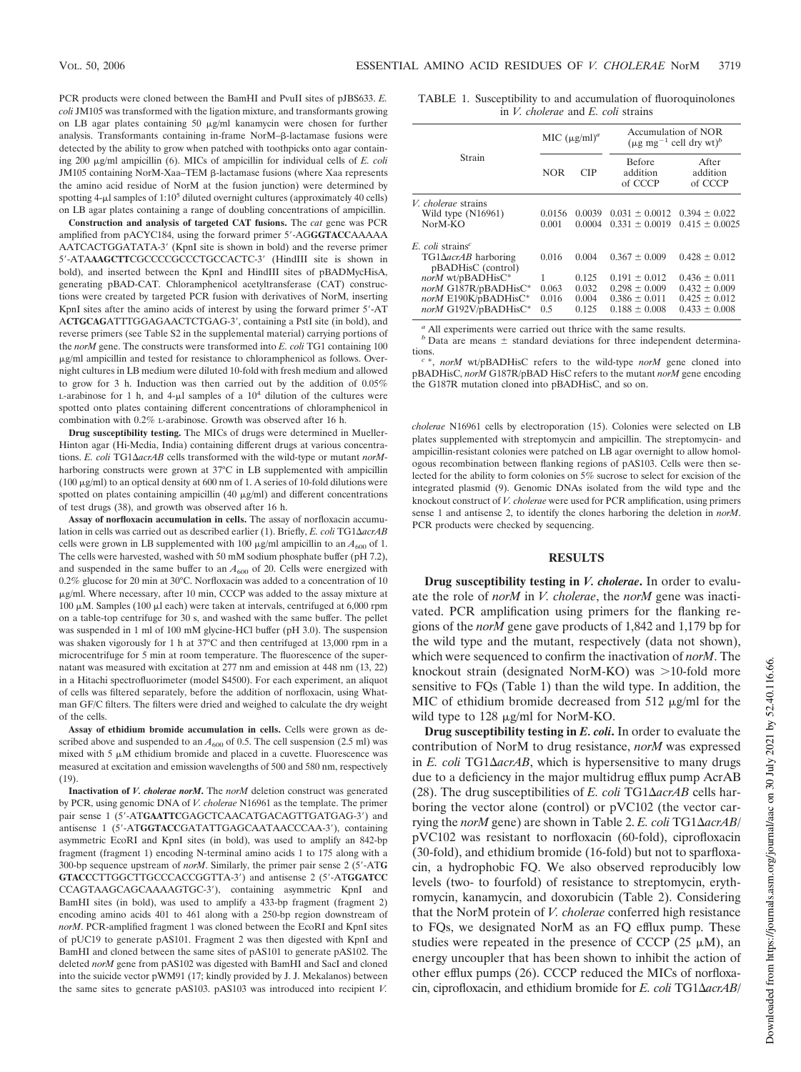PCR products were cloned between the BamHI and PvuII sites of pJBS633. *E. coli* JM105 was transformed with the ligation mixture, and transformants growing on LB agar plates containing 50  $\mu$ g/ml kanamycin were chosen for further analysis. Transformants containing in-frame NorM- $\beta$ -lactamase fusions were detected by the ability to grow when patched with toothpicks onto agar containing 200  $\mu$ g/ml ampicillin (6). MICs of ampicillin for individual cells of *E. coli* JM105 containing NorM-Xaa-TEM β-lactamase fusions (where Xaa represents the amino acid residue of NorM at the fusion junction) were determined by spotting  $4-\mu$ l samples of  $1:10^5$  diluted overnight cultures (approximately  $40$  cells) on LB agar plates containing a range of doubling concentrations of ampicillin.

**Construction and analysis of targeted CAT fusions.** The *cat* gene was PCR amplified from pACYC184, using the forward primer 5-AG**GGTACC**AAAAA AATCACTGGATATA-3' (KpnI site is shown in bold) and the reverse primer 5-ATA**AAGCTT**CGCCCCGCCCTGCCACTC-3 (HindIII site is shown in bold), and inserted between the KpnI and HindIII sites of pBADMycHisA, generating pBAD-CAT. Chloramphenicol acetyltransferase (CAT) constructions were created by targeted PCR fusion with derivatives of NorM, inserting KpnI sites after the amino acids of interest by using the forward primer 5-AT A**CTGCAG**ATTTGGAGAACTCTGAG-3, containing a PstI site (in bold), and reverse primers (see Table S2 in the supplemental material) carrying portions of the *norM* gene. The constructs were transformed into *E. coli* TG1 containing 100 g/ml ampicillin and tested for resistance to chloramphenicol as follows. Overnight cultures in LB medium were diluted 10-fold with fresh medium and allowed to grow for 3 h. Induction was then carried out by the addition of 0.05% L-arabinose for 1 h, and 4- $\mu$ l samples of a  $10^4$  dilution of the cultures were spotted onto plates containing different concentrations of chloramphenicol in combination with 0.2% L-arabinose. Growth was observed after 16 h.

**Drug susceptibility testing.** The MICs of drugs were determined in Mueller-Hinton agar (Hi-Media, India) containing different drugs at various concentrations. *E. coli* TG1Δ*acrAB* cells transformed with the wild-type or mutant *norM*harboring constructs were grown at 37°C in LB supplemented with ampicillin (100  $\mu$ g/ml) to an optical density at 600 nm of 1. A series of 10-fold dilutions were spotted on plates containing ampicillin (40  $\mu$ g/ml) and different concentrations of test drugs (38), and growth was observed after 16 h.

**Assay of norfloxacin accumulation in cells.** The assay of norfloxacin accumulation in cells was carried out as described earlier (1). Briefly, *E. coli* TG1-*acrAB* cells were grown in LB supplemented with 100  $\mu$ g/ml ampicillin to an  $A_{600}$  of 1. The cells were harvested, washed with 50 mM sodium phosphate buffer (pH 7.2), and suspended in the same buffer to an  $A_{600}$  of 20. Cells were energized with 0.2% glucose for 20 min at 30°C. Norfloxacin was added to a concentration of 10  $\mu$ g/ml. Where necessary, after 10 min, CCCP was added to the assay mixture at 100  $\mu$ M. Samples (100  $\mu$ l each) were taken at intervals, centrifuged at 6,000 rpm on a table-top centrifuge for 30 s, and washed with the same buffer. The pellet was suspended in 1 ml of 100 mM glycine-HCl buffer (pH 3.0). The suspension was shaken vigorously for 1 h at 37°C and then centrifuged at 13,000 rpm in a microcentrifuge for 5 min at room temperature. The fluorescence of the supernatant was measured with excitation at 277 nm and emission at 448 nm (13, 22) in a Hitachi spectrofluorimeter (model S4500). For each experiment, an aliquot of cells was filtered separately, before the addition of norfloxacin, using Whatman GF/C filters. The filters were dried and weighed to calculate the dry weight of the cells.

**Assay of ethidium bromide accumulation in cells.** Cells were grown as described above and suspended to an  $A_{600}$  of 0.5. The cell suspension (2.5 ml) was mixed with  $5 \mu M$  ethidium bromide and placed in a cuvette. Fluorescence was measured at excitation and emission wavelengths of 500 and 580 nm, respectively (19).

**Inactivation of** *V. cholerae norM***.** The *norM* deletion construct was generated by PCR, using genomic DNA of *V. cholerae* N16961 as the template. The primer pair sense 1 (5-AT**GAATTC**GAGCTCAACATGACAGTTGATGAG-3) and antisense 1 (5-AT**GGTACC**GATATTGAGCAATAACCCAA-3), containing asymmetric EcoRI and KpnI sites (in bold), was used to amplify an 842-bp fragment (fragment 1) encoding N-terminal amino acids 1 to 175 along with a 300-bp sequence upstream of *norM*. Similarly, the primer pair sense 2 (5-AT**G GTACC**CTTGGCTTGCCCACCGGTTA-3) and antisense 2 (5-AT**GGATCC** CCAGTAAGCAGCAAAAGTGC-3), containing asymmetric KpnI and BamHI sites (in bold), was used to amplify a 433-bp fragment (fragment 2) encoding amino acids 401 to 461 along with a 250-bp region downstream of *norM*. PCR-amplified fragment 1 was cloned between the EcoRI and KpnI sites of pUC19 to generate pAS101. Fragment 2 was then digested with KpnI and BamHI and cloned between the same sites of pAS101 to generate pAS102. The deleted *norM* gene from pAS102 was digested with BamHI and SacI and cloned into the suicide vector pWM91 (17; kindly provided by J. J. Mekalanos) between the same sites to generate pAS103. pAS103 was introduced into recipient *V.*

TABLE 1. Susceptibility to and accumulation of fluoroquinolones in *V. cholerae* and *E. coli* strains

|                                                                                                                                                                                     | MIC $(\mu g/ml)^a$             |                                           | Accumulation of NOR<br>$(\mu g mg^{-1}$ cell dry wt) <sup>b</sup>                                     |                                                                                                       |
|-------------------------------------------------------------------------------------------------------------------------------------------------------------------------------------|--------------------------------|-------------------------------------------|-------------------------------------------------------------------------------------------------------|-------------------------------------------------------------------------------------------------------|
| Strain                                                                                                                                                                              | <b>NOR</b>                     | <b>CIP</b>                                | <b>Before</b><br>addition<br>of CCCP                                                                  | After<br>addition<br>of CCCP                                                                          |
| <i>V. cholerae</i> strains<br>Wild type $(N16961)$<br>$NorM-KO$                                                                                                                     | 0.0156<br>0.001                | 0.0039<br>0.0004                          | $0.031 \pm 0.0012$<br>$0.331 \pm 0.0019$                                                              | $0.394 \pm 0.022$<br>$0.415 \pm 0.0025$                                                               |
| $E_{c}$ coli strains <sup>c</sup><br>$TG1\Delta acrAB$ harboring<br>pBADHisC (control)<br>norM wt/pBADHisC*<br>norM G187R/pBADHisC*<br>norM E190K/pBADHisC*<br>norM G192V/pBADHisC* | 0.016<br>0.063<br>0.016<br>0.5 | 0.004<br>0.125<br>0.032<br>0.004<br>0.125 | $0.367 \pm 0.009$<br>$0.191 \pm 0.012$<br>$0.298 \pm 0.009$<br>$0.386 \pm 0.011$<br>$0.188 \pm 0.008$ | $0.428 \pm 0.012$<br>$0.436 \pm 0.011$<br>$0.432 \pm 0.009$<br>$0.425 \pm 0.012$<br>$0.433 \pm 0.008$ |

*<sup>a</sup>* All experiments were carried out thrice with the same results.

 $<sup>b</sup>$  Data are means  $\pm$  standard deviations for three independent determina-</sup> tions.

*c* \*, *norM* wt/pBADHisC refers to the wild-type *norM* gene cloned into pBADHisC, *norM* G187R/pBAD HisC refers to the mutant *norM* gene encoding the G187R mutation cloned into pBADHisC, and so on.

*cholerae* N16961 cells by electroporation (15). Colonies were selected on LB plates supplemented with streptomycin and ampicillin. The streptomycin- and ampicillin-resistant colonies were patched on LB agar overnight to allow homologous recombination between flanking regions of pAS103. Cells were then selected for the ability to form colonies on 5% sucrose to select for excision of the integrated plasmid (9). Genomic DNAs isolated from the wild type and the knockout construct of *V. cholerae* were used for PCR amplification, using primers sense 1 and antisense 2, to identify the clones harboring the deletion in *norM*. PCR products were checked by sequencing.

## **RESULTS**

**Drug susceptibility testing in** *V. cholerae***.** In order to evaluate the role of *norM* in *V. cholerae*, the *norM* gene was inactivated. PCR amplification using primers for the flanking regions of the *norM* gene gave products of 1,842 and 1,179 bp for the wild type and the mutant, respectively (data not shown), which were sequenced to confirm the inactivation of *norM*. The knockout strain (designated NorM-KO) was  $>$ 10-fold more sensitive to FQs (Table 1) than the wild type. In addition, the MIC of ethidium bromide decreased from 512  $\mu$ g/ml for the wild type to 128 µg/ml for NorM-KO.

**Drug susceptibility testing in** *E. coli***.** In order to evaluate the contribution of NorM to drug resistance, *norM* was expressed in  $E$ . *coli* TG1 $\Delta$ *acrAB*, which is hypersensitive to many drugs due to a deficiency in the major multidrug efflux pump AcrAB (28). The drug susceptibilities of  $E$ . *coli* TG1 $\Delta$ *acrAB* cells harboring the vector alone (control) or pVC102 (the vector carrying the *norM* gene) are shown in Table 2. *E. coli* TG1 $\Delta$ *acrAB*/ pVC102 was resistant to norfloxacin (60-fold), ciprofloxacin (30-fold), and ethidium bromide (16-fold) but not to sparfloxacin, a hydrophobic FQ. We also observed reproducibly low levels (two- to fourfold) of resistance to streptomycin, erythromycin, kanamycin, and doxorubicin (Table 2). Considering that the NorM protein of *V. cholerae* conferred high resistance to FQs, we designated NorM as an FQ efflux pump. These studies were repeated in the presence of CCCP  $(25 \mu M)$ , an energy uncoupler that has been shown to inhibit the action of other efflux pumps (26). CCCP reduced the MICs of norfloxacin, ciprofloxacin, and ethidium bromide for *E. coli* TG1ΔacrAB/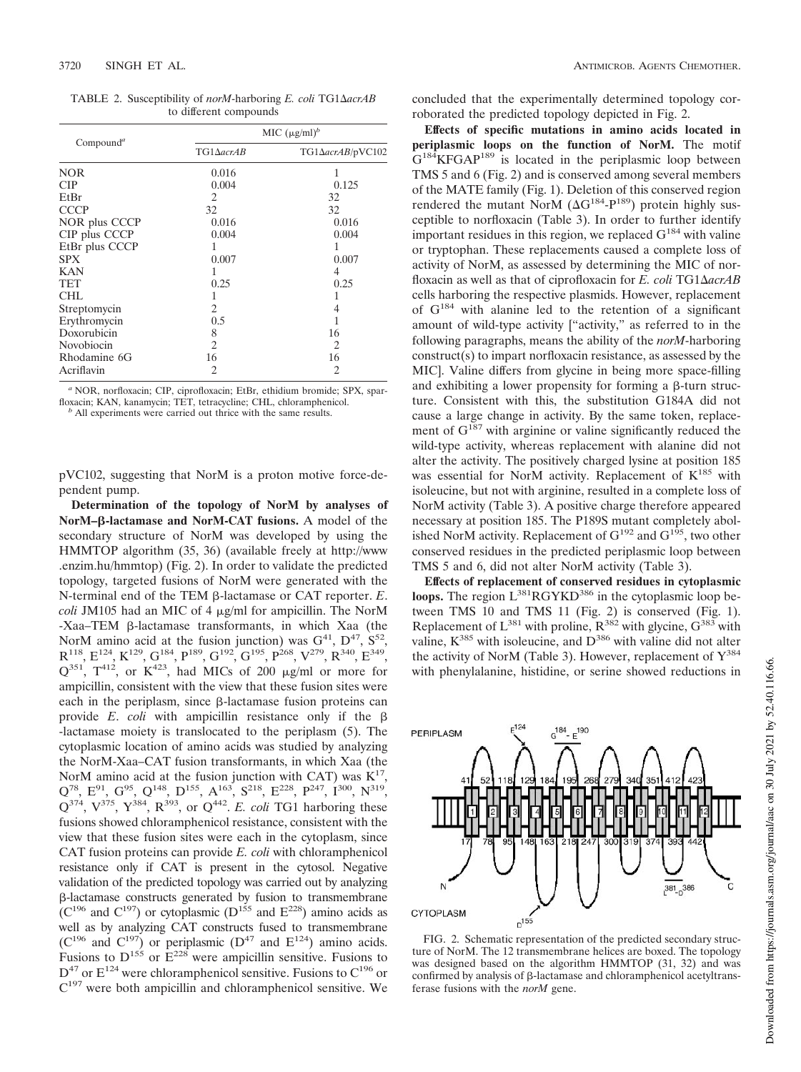TABLE 2. Susceptibility of *norM*-harboring *E. coli* TG1ΔacrAB to different compounds

|                       | MIC $(\mu g/ml)^b$          |                  |  |  |
|-----------------------|-----------------------------|------------------|--|--|
| Compound <sup>a</sup> | $TG1\Delta acrAB$           | TG1ΔacrAB/pVC102 |  |  |
| <b>NOR</b>            | 0.016                       | 1                |  |  |
| <b>CIP</b>            | 0.004                       | 0.125            |  |  |
| EtBr                  | 2                           | 32               |  |  |
| <b>CCCP</b>           | 32                          | 32               |  |  |
| NOR plus CCCP         | 0.016                       | 0.016            |  |  |
| CIP plus CCCP         | 0.004                       | 0.004            |  |  |
| EtBr plus CCCP        |                             | 1                |  |  |
| <b>SPX</b>            | 0.007                       | 0.007            |  |  |
| <b>KAN</b>            |                             | 4                |  |  |
| TET                   | 0.25                        | 0.25             |  |  |
| CHL                   | 1                           |                  |  |  |
| Streptomycin          | 2                           | 4                |  |  |
| Erythromycin          | 0.5                         | 1                |  |  |
| Doxorubicin           | 8                           | 16               |  |  |
| Novobiocin            | $\mathcal{D}_{\mathcal{L}}$ | 2                |  |  |
| Rhodamine 6G          | 16                          | 16               |  |  |
| Acriflavin            | 2                           | 2                |  |  |

*<sup>a</sup>* NOR, norfloxacin; CIP, ciprofloxacin; EtBr, ethidium bromide; SPX, sparfloxacin; KAN, kanamycin; TET, tetracycline; CHL, chloramphenicol. *<sup>b</sup>* All experiments were carried out thrice with the same results.

pVC102, suggesting that NorM is a proton motive force-dependent pump.

**Determination of the topology of NorM by analyses of NorM–-lactamase and NorM-CAT fusions.** A model of the secondary structure of NorM was developed by using the HMMTOP algorithm (35, 36) (available freely at http://www .enzim.hu/hmmtop) (Fig. 2). In order to validate the predicted topology, targeted fusions of NorM were generated with the N-terminal end of the TEM β-lactamase or CAT reporter. *E*.  $\text{coll}$  JM105 had an MIC of 4  $\mu$ g/ml for ampicillin. The NorM -Xaa–TEM β-lactamase transformants, in which Xaa (the NorM amino acid at the fusion junction) was  $G^{41}$ ,  $D^{47}$ ,  $S^{52}$ ,  $\mathrm{R}^{118}, \, \mathrm{E}^{124}, \, \mathrm{K}^{129}, \, \mathrm{G}^{184}, \, \mathrm{P}^{189}, \, \mathrm{G}^{192}, \, \mathrm{G}^{195}, \, \mathrm{P}^{268}, \, \mathrm{V}^{279}, \, \mathrm{R}^{340}, \, \mathrm{E}^{349},$  $Q^{351}$ ,  $T^{412}$ , or  $K^{423}$ , had MICs of 200  $\mu$ g/ml or more for ampicillin, consistent with the view that these fusion sites were each in the periplasm, since  $\beta$ -lactamase fusion proteins can provide *E*. *coli* with ampicillin resistance only if the -lactamase moiety is translocated to the periplasm (5). The cytoplasmic location of amino acids was studied by analyzing the NorM-Xaa–CAT fusion transformants, in which Xaa (the NorM amino acid at the fusion junction with CAT) was  $K^{17}$ ,  $Q^{78}$ ,  $E^{91}$ ,  $G^{95}$ ,  $Q^{148}$ ,  $D^{155}$ ,  $A^{163}$ ,  $S^{218}$ ,  $E^{228}$ ,  $P^{247}$ ,  $I^{300}$ ,  $N^{319}$ ,  $Q^{374}$ ,  $V^{375}$ ,  $Y^{384}$ ,  $R^{393}$ , or  $Q^{442}$ . *E. coli* TG1 harboring these fusions showed chloramphenicol resistance, consistent with the view that these fusion sites were each in the cytoplasm, since CAT fusion proteins can provide *E. coli* with chloramphenicol resistance only if CAT is present in the cytosol. Negative validation of the predicted topology was carried out by analyzing -lactamase constructs generated by fusion to transmembrane  $(C^{196}$  and  $C^{197})$  or cytoplasmic  $(D^{155})$  and  $E^{228})$  amino acids as well as by analyzing CAT constructs fused to transmembrane  $(C^{196} \text{ and } C^{197})$  or periplasmic  $(D^{47} \text{ and } E^{124})$  amino acids. Fusions to  $D^{155}$  or  $E^{228}$  were ampicillin sensitive. Fusions to  $D^{47}$  or  $E^{124}$  were chloramphenicol sensitive. Fusions to  $C^{196}$  or C<sup>197</sup> were both ampicillin and chloramphenicol sensitive. We

concluded that the experimentally determined topology corroborated the predicted topology depicted in Fig. 2.

**Effects of specific mutations in amino acids located in periplasmic loops on the function of NorM.** The motif  $G^{184}$ KFGAP<sup>189</sup> is located in the periplasmic loop between TMS 5 and 6 (Fig. 2) and is conserved among several members of the MATE family (Fig. 1). Deletion of this conserved region rendered the mutant NorM  $(\Delta G^{184} - P^{189})$  protein highly susceptible to norfloxacin (Table 3). In order to further identify important residues in this region, we replaced  $G^{184}$  with valine or tryptophan. These replacements caused a complete loss of activity of NorM, as assessed by determining the MIC of norfloxacin as well as that of ciprofloxacin for *E. coli* TG1 $\triangle$ *acrAB* cells harboring the respective plasmids. However, replacement of G<sup>184</sup> with alanine led to the retention of a significant amount of wild-type activity ["activity," as referred to in the following paragraphs, means the ability of the *norM*-harboring construct(s) to impart norfloxacin resistance, as assessed by the MIC]. Valine differs from glycine in being more space-filling and exhibiting a lower propensity for forming a  $\beta$ -turn structure. Consistent with this, the substitution G184A did not cause a large change in activity. By the same token, replacement of  $G^{187}$  with arginine or valine significantly reduced the wild-type activity, whereas replacement with alanine did not alter the activity. The positively charged lysine at position 185 was essential for NorM activity. Replacement of  $K^{185}$  with isoleucine, but not with arginine, resulted in a complete loss of NorM activity (Table 3). A positive charge therefore appeared necessary at position 185. The P189S mutant completely abolished NorM activity. Replacement of  $G^{192}$  and  $G^{195}$ , two other conserved residues in the predicted periplasmic loop between TMS 5 and 6, did not alter NorM activity (Table 3).

**Effects of replacement of conserved residues in cytoplasmic loops.** The region  $L^{381}RGYKD^{386}$  in the cytoplasmic loop between TMS 10 and TMS 11 (Fig. 2) is conserved (Fig. 1). Replacement of  $L^{381}$  with proline,  $R^{382}$  with glycine,  $G^{383}$  with valine,  $K^{385}$  with isoleucine, and  $D^{386}$  with valine did not alter the activity of NorM (Table 3). However, replacement of  $Y^{384}$ with phenylalanine, histidine, or serine showed reductions in



FIG. 2. Schematic representation of the predicted secondary structure of NorM. The 12 transmembrane helices are boxed. The topology was designed based on the algorithm HMMTOP (31, 32) and was confirmed by analysis of  $\beta$ -lactamase and chloramphenicol acetyltransferase fusions with the *norM* gene.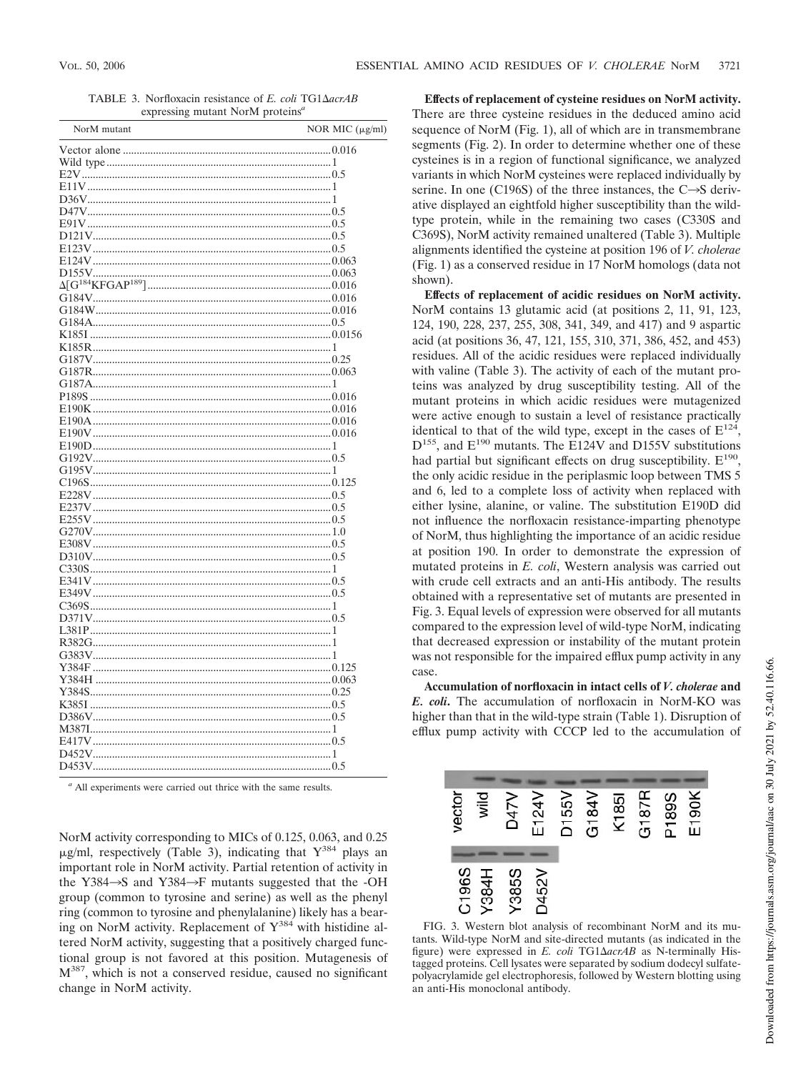TABLE 3. Norfloxacin resistance of *E. coli* TG1 $\triangle$ *acrAB* expressing mutant NorM proteins*<sup>a</sup>*

| ${\bf D155V} \hspace{1cm} 0.063 \\ \Delta [{\bf G}^{184}{\bf KFGAP}^{189}] \hspace{1cm} 0.016$ | NorM mutant | NOR MIC (µg/ml) |
|------------------------------------------------------------------------------------------------|-------------|-----------------|
|                                                                                                |             |                 |
|                                                                                                |             |                 |
|                                                                                                |             |                 |
|                                                                                                |             |                 |
|                                                                                                |             |                 |
|                                                                                                |             |                 |
|                                                                                                |             |                 |
|                                                                                                |             |                 |
|                                                                                                |             |                 |
|                                                                                                |             |                 |
|                                                                                                |             |                 |
|                                                                                                |             |                 |
|                                                                                                |             |                 |
|                                                                                                |             |                 |
|                                                                                                |             |                 |
|                                                                                                |             |                 |
|                                                                                                |             |                 |
|                                                                                                |             |                 |
|                                                                                                |             |                 |
|                                                                                                |             |                 |
|                                                                                                |             |                 |
|                                                                                                |             |                 |
|                                                                                                |             |                 |
|                                                                                                |             |                 |
|                                                                                                |             |                 |
|                                                                                                |             |                 |
|                                                                                                |             |                 |
|                                                                                                |             |                 |
|                                                                                                |             |                 |
|                                                                                                |             |                 |
|                                                                                                |             |                 |
|                                                                                                |             |                 |
|                                                                                                |             |                 |
|                                                                                                |             |                 |
|                                                                                                |             |                 |
|                                                                                                |             |                 |
|                                                                                                |             |                 |
|                                                                                                |             |                 |
|                                                                                                |             |                 |
|                                                                                                |             |                 |
|                                                                                                |             |                 |
|                                                                                                |             |                 |
|                                                                                                |             |                 |
|                                                                                                |             |                 |
|                                                                                                |             |                 |
|                                                                                                |             |                 |
|                                                                                                |             |                 |
|                                                                                                |             |                 |
|                                                                                                |             |                 |
|                                                                                                |             |                 |
|                                                                                                |             |                 |

*<sup>a</sup>* All experiments were carried out thrice with the same results.

NorM activity corresponding to MICs of 0.125, 0.063, and 0.25  $\mu$ g/ml, respectively (Table 3), indicating that Y<sup>384</sup> plays an important role in NorM activity. Partial retention of activity in the Y384 $\rightarrow$ S and Y384 $\rightarrow$ F mutants suggested that the -OH group (common to tyrosine and serine) as well as the phenyl ring (common to tyrosine and phenylalanine) likely has a bearing on NorM activity. Replacement of  $Y^{384}$  with histidine altered NorM activity, suggesting that a positively charged functional group is not favored at this position. Mutagenesis of  $M^{387}$ , which is not a conserved residue, caused no significant change in NorM activity.

**Effects of replacement of cysteine residues on NorM activity.** There are three cysteine residues in the deduced amino acid sequence of NorM (Fig. 1), all of which are in transmembrane segments (Fig. 2). In order to determine whether one of these cysteines is in a region of functional significance, we analyzed variants in which NorM cysteines were replaced individually by serine. In one (C196S) of the three instances, the  $C\rightarrow S$  derivative displayed an eightfold higher susceptibility than the wildtype protein, while in the remaining two cases (C330S and C369S), NorM activity remained unaltered (Table 3). Multiple alignments identified the cysteine at position 196 of *V. cholerae* (Fig. 1) as a conserved residue in 17 NorM homologs (data not shown).

**Effects of replacement of acidic residues on NorM activity.** NorM contains 13 glutamic acid (at positions 2, 11, 91, 123, 124, 190, 228, 237, 255, 308, 341, 349, and 417) and 9 aspartic acid (at positions 36, 47, 121, 155, 310, 371, 386, 452, and 453) residues. All of the acidic residues were replaced individually with valine (Table 3). The activity of each of the mutant proteins was analyzed by drug susceptibility testing. All of the mutant proteins in which acidic residues were mutagenized were active enough to sustain a level of resistance practically identical to that of the wild type, except in the cases of  $E^{124}$ , D<sup>155</sup>, and E<sup>190</sup> mutants. The E124V and D155V substitutions had partial but significant effects on drug susceptibility.  $E^{190}$ , the only acidic residue in the periplasmic loop between TMS 5 and 6, led to a complete loss of activity when replaced with either lysine, alanine, or valine. The substitution E190D did not influence the norfloxacin resistance-imparting phenotype of NorM, thus highlighting the importance of an acidic residue at position 190. In order to demonstrate the expression of mutated proteins in *E. coli*, Western analysis was carried out with crude cell extracts and an anti-His antibody. The results obtained with a representative set of mutants are presented in Fig. 3. Equal levels of expression were observed for all mutants compared to the expression level of wild-type NorM, indicating that decreased expression or instability of the mutant protein was not responsible for the impaired efflux pump activity in any case.

**Accumulation of norfloxacin in intact cells of** *V. cholerae* **and** *E. coli***.** The accumulation of norfloxacin in NorM-KO was higher than that in the wild-type strain (Table 1). Disruption of efflux pump activity with CCCP led to the accumulation of



FIG. 3. Western blot analysis of recombinant NorM and its mutants. Wild-type NorM and site-directed mutants (as indicated in the figure) were expressed in *E. coli* TG1 $\triangle$ *acrAB* as N-terminally Histagged proteins. Cell lysates were separated by sodium dodecyl sulfatepolyacrylamide gel electrophoresis, followed by Western blotting using an anti-His monoclonal antibody.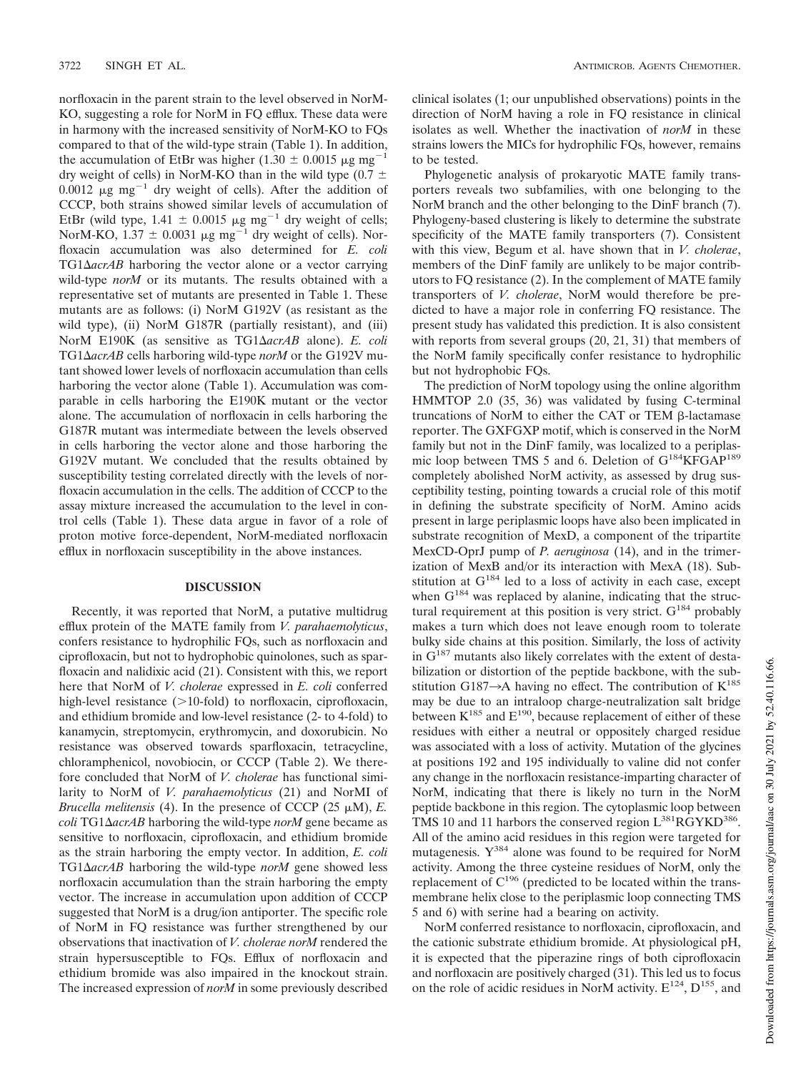norfloxacin in the parent strain to the level observed in NorM-KO, suggesting a role for NorM in FQ efflux. These data were in harmony with the increased sensitivity of NorM-KO to FQs compared to that of the wild-type strain (Table 1). In addition, the accumulation of EtBr was higher (1.30  $\pm$  0.0015  $\mu$ g mg<sup>-1</sup> dry weight of cells) in NorM-KO than in the wild type (0.7  $\pm$ 0.0012  $\mu$ g mg<sup>-1</sup> dry weight of cells). After the addition of CCCP, both strains showed similar levels of accumulation of EtBr (wild type, 1.41  $\pm$  0.0015 µg mg<sup>-1</sup> dry weight of cells; NorM-KO,  $1.37 \pm 0.0031 \mu g$  mg<sup>-1</sup> dry weight of cells). Norfloxacin accumulation was also determined for *E. coli* TG1 $\Delta$ *acrAB* harboring the vector alone or a vector carrying wild-type *norM* or its mutants. The results obtained with a representative set of mutants are presented in Table 1. These mutants are as follows: (i) NorM G192V (as resistant as the wild type), (ii) NorM G187R (partially resistant), and (iii) NorM E190K (as sensitive as TG1Δ*acrAB* alone). *E. coli* TG1ΔacrAB cells harboring wild-type *norM* or the G192V mutant showed lower levels of norfloxacin accumulation than cells harboring the vector alone (Table 1). Accumulation was comparable in cells harboring the E190K mutant or the vector alone. The accumulation of norfloxacin in cells harboring the G187R mutant was intermediate between the levels observed in cells harboring the vector alone and those harboring the G192V mutant. We concluded that the results obtained by susceptibility testing correlated directly with the levels of norfloxacin accumulation in the cells. The addition of CCCP to the assay mixture increased the accumulation to the level in control cells (Table 1). These data argue in favor of a role of proton motive force-dependent, NorM-mediated norfloxacin efflux in norfloxacin susceptibility in the above instances.

## **DISCUSSION**

Recently, it was reported that NorM, a putative multidrug efflux protein of the MATE family from *V. parahaemolyticus*, confers resistance to hydrophilic FQs, such as norfloxacin and ciprofloxacin, but not to hydrophobic quinolones, such as sparfloxacin and nalidixic acid (21). Consistent with this, we report here that NorM of *V. cholerae* expressed in *E. coli* conferred high-level resistance  $(>10$ -fold) to norfloxacin, ciprofloxacin, and ethidium bromide and low-level resistance (2- to 4-fold) to kanamycin, streptomycin, erythromycin, and doxorubicin. No resistance was observed towards sparfloxacin, tetracycline, chloramphenicol, novobiocin, or CCCP (Table 2). We therefore concluded that NorM of *V. cholerae* has functional similarity to NorM of *V. parahaemolyticus* (21) and NorMI of *Brucella melitensis* (4). In the presence of CCCP (25  $\mu$ M), *E. coli* TG1ΔacrAB harboring the wild-type *norM* gene became as sensitive to norfloxacin, ciprofloxacin, and ethidium bromide as the strain harboring the empty vector. In addition, *E. coli* TG1ΔacrAB harboring the wild-type norM gene showed less norfloxacin accumulation than the strain harboring the empty vector. The increase in accumulation upon addition of CCCP suggested that NorM is a drug/ion antiporter. The specific role of NorM in FQ resistance was further strengthened by our observations that inactivation of *V. cholerae norM* rendered the strain hypersusceptible to FQs. Efflux of norfloxacin and ethidium bromide was also impaired in the knockout strain. The increased expression of *norM* in some previously described

clinical isolates (1; our unpublished observations) points in the direction of NorM having a role in FQ resistance in clinical isolates as well. Whether the inactivation of *norM* in these strains lowers the MICs for hydrophilic FQs, however, remains to be tested.

Phylogenetic analysis of prokaryotic MATE family transporters reveals two subfamilies, with one belonging to the NorM branch and the other belonging to the DinF branch (7). Phylogeny-based clustering is likely to determine the substrate specificity of the MATE family transporters (7). Consistent with this view, Begum et al. have shown that in *V. cholerae*, members of the DinF family are unlikely to be major contributors to FQ resistance (2). In the complement of MATE family transporters of *V. cholerae*, NorM would therefore be predicted to have a major role in conferring FQ resistance. The present study has validated this prediction. It is also consistent with reports from several groups  $(20, 21, 31)$  that members of the NorM family specifically confer resistance to hydrophilic but not hydrophobic FQs.

The prediction of NorM topology using the online algorithm HMMTOP 2.0 (35, 36) was validated by fusing C-terminal truncations of NorM to either the CAT or TEM  $\beta$ -lactamase reporter. The GXFGXP motif, which is conserved in the NorM family but not in the DinF family, was localized to a periplasmic loop between TMS 5 and 6. Deletion of  $G^{184}KFGAP^{189}$ completely abolished NorM activity, as assessed by drug susceptibility testing, pointing towards a crucial role of this motif in defining the substrate specificity of NorM. Amino acids present in large periplasmic loops have also been implicated in substrate recognition of MexD, a component of the tripartite MexCD-OprJ pump of *P. aeruginosa* (14), and in the trimerization of MexB and/or its interaction with MexA (18). Substitution at  $G^{184}$  led to a loss of activity in each case, except when  $G^{184}$  was replaced by alanine, indicating that the structural requirement at this position is very strict.  $G^{184}$  probably makes a turn which does not leave enough room to tolerate bulky side chains at this position. Similarly, the loss of activity in  $G^{187}$  mutants also likely correlates with the extent of destabilization or distortion of the peptide backbone, with the substitution G187 $\rightarrow$ A having no effect. The contribution of K<sup>185</sup> may be due to an intraloop charge-neutralization salt bridge between  $K^{185}$  and  $E^{190}$ , because replacement of either of these residues with either a neutral or oppositely charged residue was associated with a loss of activity. Mutation of the glycines at positions 192 and 195 individually to valine did not confer any change in the norfloxacin resistance-imparting character of NorM, indicating that there is likely no turn in the NorM peptide backbone in this region. The cytoplasmic loop between TMS 10 and 11 harbors the conserved region L<sup>381</sup>RGYKD<sup>386</sup>. All of the amino acid residues in this region were targeted for mutagenesis. Y<sup>384</sup> alone was found to be required for NorM activity. Among the three cysteine residues of NorM, only the replacement of  $C^{196}$  (predicted to be located within the transmembrane helix close to the periplasmic loop connecting TMS 5 and 6) with serine had a bearing on activity.

NorM conferred resistance to norfloxacin, ciprofloxacin, and the cationic substrate ethidium bromide. At physiological pH, it is expected that the piperazine rings of both ciprofloxacin and norfloxacin are positively charged (31). This led us to focus on the role of acidic residues in NorM activity.  $E^{124}$ ,  $D^{155}$ , and